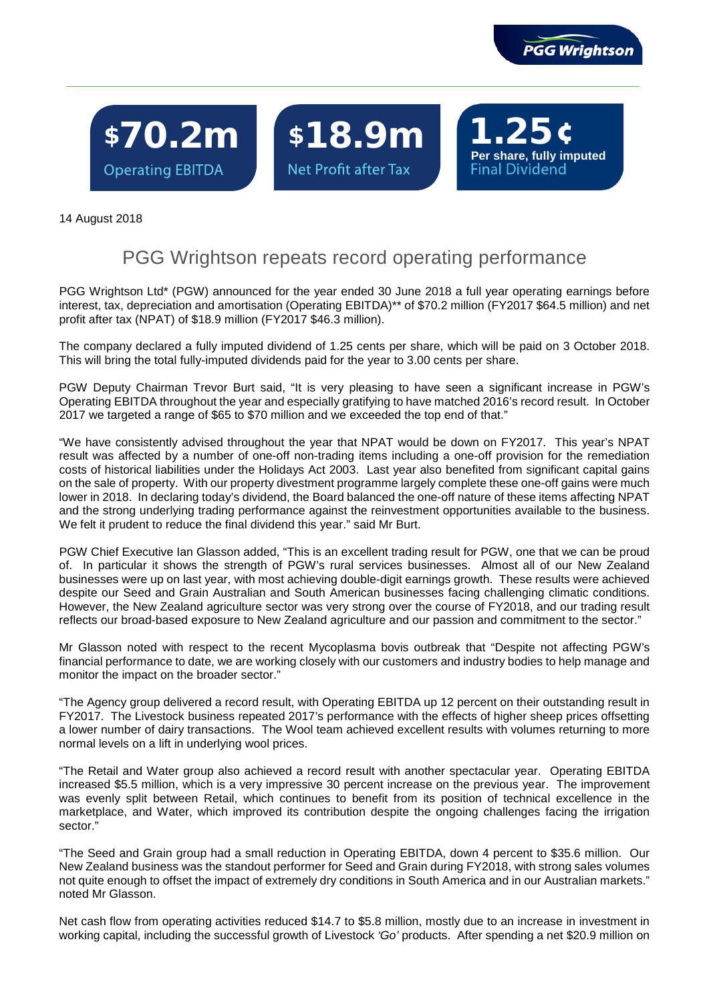

**Per share, fully imputed**

\$70.2m**Operating EBITDA** 

\$18.9m Net Profit after Tax

 $\overline{a}$ 

14 August 2018

## PGG Wrightson repeats record operating performance

PGG Wrightson Ltd\* (PGW) announced for the year ended 30 June 2018 a full year operating earnings before interest, tax, depreciation and amortisation (Operating EBITDA)\*\* of \$70.2 million (FY2017 \$64.5 million) and net profit after tax (NPAT) of \$18.9 million (FY2017 \$46.3 million).

The company declared a fully imputed dividend of 1.25 cents per share, which will be paid on 3 October 2018. This will bring the total fully-imputed dividends paid for the year to 3.00 cents per share.

PGW Deputy Chairman Trevor Burt said, "It is very pleasing to have seen a significant increase in PGW's Operating EBITDA throughout the year and especially gratifying to have matched 2016's record result. In October 2017 we targeted a range of \$65 to \$70 million and we exceeded the top end of that."

"We have consistently advised throughout the year that NPAT would be down on FY2017. This year's NPAT result was affected by a number of one-off non-trading items including a one-off provision for the remediation costs of historical liabilities under the Holidays Act 2003. Last year also benefited from significant capital gains on the sale of property. With our property divestment programme largely complete these one-off gains were much lower in 2018. In declaring today's dividend, the Board balanced the one-off nature of these items affecting NPAT and the strong underlying trading performance against the reinvestment opportunities available to the business. We felt it prudent to reduce the final dividend this year." said Mr Burt.

PGW Chief Executive Ian Glasson added, "This is an excellent trading result for PGW, one that we can be proud of. In particular it shows the strength of PGW's rural services businesses. Almost all of our New Zealand businesses were up on last year, with most achieving double-digit earnings growth. These results were achieved despite our Seed and Grain Australian and South American businesses facing challenging climatic conditions. However, the New Zealand agriculture sector was very strong over the course of FY2018, and our trading result reflects our broad-based exposure to New Zealand agriculture and our passion and commitment to the sector."

Mr Glasson noted with respect to the recent Mycoplasma bovis outbreak that "Despite not affecting PGW's financial performance to date, we are working closely with our customers and industry bodies to help manage and monitor the impact on the broader sector."

"The Agency group delivered a record result, with Operating EBITDA up 12 percent on their outstanding result in FY2017. The Livestock business repeated 2017's performance with the effects of higher sheep prices offsetting a lower number of dairy transactions. The Wool team achieved excellent results with volumes returning to more normal levels on a lift in underlying wool prices.

"The Retail and Water group also achieved a record result with another spectacular year. Operating EBITDA increased \$5.5 million, which is a very impressive 30 percent increase on the previous year. The improvement was evenly split between Retail, which continues to benefit from its position of technical excellence in the marketplace, and Water, which improved its contribution despite the ongoing challenges facing the irrigation sector."

"The Seed and Grain group had a small reduction in Operating EBITDA, down 4 percent to \$35.6 million. Our New Zealand business was the standout performer for Seed and Grain during FY2018, with strong sales volumes not quite enough to offset the impact of extremely dry conditions in South America and in our Australian markets." noted Mr Glasson.

Net cash flow from operating activities reduced \$14.7 to \$5.8 million, mostly due to an increase in investment in working capital, including the successful growth of Livestock *'Go'* products. After spending a net \$20.9 million on